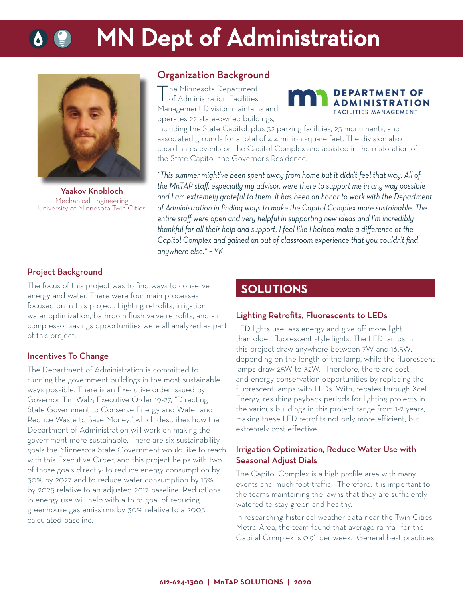# **MN Dept of Administration**



Yaakov Knobloch Mechanical Engineering University of Minnesota Twin Cities

## Organization Background

The Minnesota Department of Administration Facilities Management Division maintains and operates 22 state-owned buildings,



including the State Capitol, plus 32 parking facilities, 25 monuments, and associated grounds for a total of 4.4 million square feet. The division also coordinates events on the Capitol Complex and assisted in the restoration of the State Capitol and Governor's Residence.

*"This summer might've been spent away from home but it didn't feel that way. All of the MnTAP staff , especially my advisor, were there to support me in any way possible and I am extremely grateful to them. It has been an honor to work with the Department*  of Administration in finding ways to make the Capitol Complex more sustainable. The *entire staff were open and very helpful in supporting new ideas and I'm incredibly thankful for all their help and support. I feel like I helped make a diff erence at the*  Capitol Complex and gained an out of classroom experience that you couldn't find *anywhere else." ~ YK*

### Project Background

The focus of this project was to find ways to conserve energy and water. There were four main processes focused on in this project. Lighting retrofits, irrigation water optimization, bathroom flush valve retrofits, and air compressor savings opportunities were all analyzed as part of this project.

### Incentives To Change

The Department of Administration is committed to running the government buildings in the most sustainable ways possible. There is an Executive order issued by Governor Tim Walz; Executive Order 19-27, "Directing State Government to Conserve Energy and Water and Reduce Waste to Save Money," which describes how the Department of Administration will work on making the government more sustainable. There are six sustainability goals the Minnesota State Government would like to reach with this Executive Order, and this project helps with two of those goals directly: to reduce energy consumption by 30% by 2027 and to reduce water consumption by 15% by 2025 relative to an adjusted 2017 baseline. Reductions in energy use will help with a third goal of reducing greenhouse gas emissions by 30% relative to a 2005 calculated baseline.

# **SOLUTIONS**

### Lighting Retrofits, Fluorescents to LEDs

LED lights use less energy and give off more light than older, fluorescent style lights. The LED lamps in this project draw anywhere between 7W and 16.5W, depending on the length of the lamp, while the fluorescent lamps draw 25W to 32W. Therefore, there are cost and energy conservation opportunities by replacing the fluorescent lamps with LEDs. With, rebates through Xcel Energy, resulting payback periods for lighting projects in the various buildings in this project range from 1-2 years, making these LED retrofits not only more efficient, but extremely cost effective.

### Irrigation Optimization, Reduce Water Use with Seasonal Adjust Dials

The Capitol Complex is a high profile area with many events and much foot traffic. Therefore, it is important to the teams maintaining the lawns that they are sufficiently watered to stay green and healthy.

In researching historical weather data near the Twin Cities Metro Area, the team found that average rainfall for the Capital Complex is 0.9'' per week. General best practices